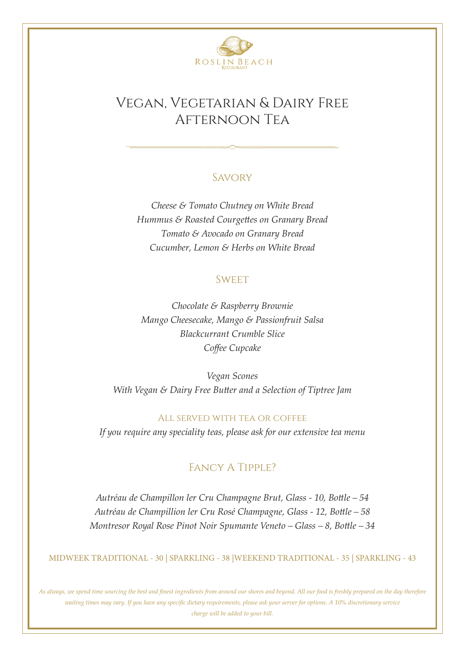

# Vegan, Vegetarian & Dairy Free Afternoon Tea

## Savory

*Cheese & Tomato Chutney on White Bread Hummus & Roasted Courgettes on Granary Bread Tomato & Avocado on Granary Bread Cucumber, Lemon & Herbs on White Bread*

### **SWEET**

*Chocolate & Raspberry Brownie Mango Cheesecake, Mango & Passionfruit Salsa Blackcurrant Crumble Slice Coffee Cupcake*

*Vegan Scones With Vegan & Dairy Free Butter and a Selection of Tiptree Jam*

#### All served with tea or coffee

*If you require any speciality teas, please ask for our extensive tea menu*

## FANCY A TIPPLE?

*Autréau de Champillon ler Cru Champagne Brut, Glass - 10, Bottle – 54 Autréau de Champillion ler Cru Rosé Champagne, Glass - 12, Bottle – 58 Montresor Royal Rose Pinot Noir Spumante Veneto – Glass – 8, Bottle – 34*

MIDWEEK TRADITIONAL - 30 | SPARKLING - 38 |WEEKEND TRADITIONAL - 35 | SPARKLING - 43

*As always, we spend time sourcing the best and finest ingredients from around our shores and beyond. All our food is freshly prepared on the day therefore waiting times may vary. If you have any specific dietary requirements, please ask your server for options. A 10% discretionary service charge will be added to your bill.*